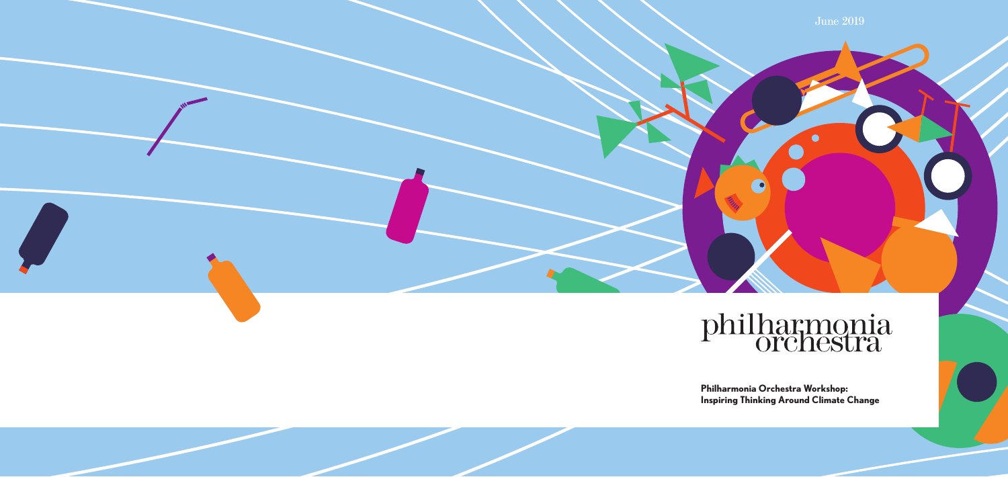#### **Philharmonia Orchestra Workshop: Inspiring Thinking Around Climate Change**



June 2019

# philharmonia

 $\bullet$